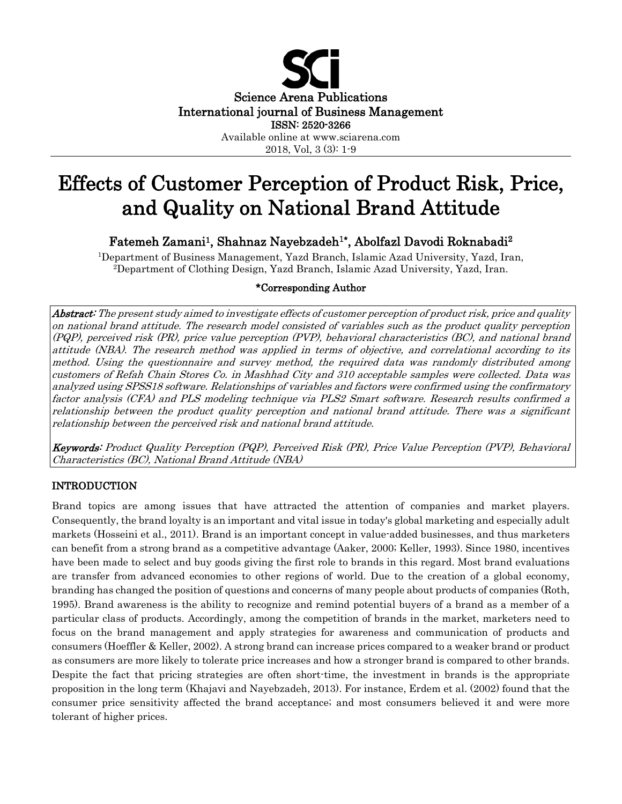

# Effects of Customer Perception of Product Risk, Price, and Quality on National Brand Attitude

Fatemeh Zamani<sup>1</sup>, Shahnaz Nayebzadeh<sup>1\*</sup>, Abolfazl Davodi Roknabadi<sup>2</sup>

1Department of Business Management, Yazd Branch, Islamic Azad University, Yazd, Iran, 2Department of Clothing Design, Yazd Branch, Islamic Azad University, Yazd, Iran.

## \*Corresponding Author

Abstract: The present study aimed to investigate effects of customer perception of product risk, price and quality on national brand attitude. The research model consisted of variables such as the product quality perception (PQP), perceived risk (PR), price value perception (PVP), behavioral characteristics (BC), and national brand attitude (NBA). The research method was applied in terms of objective, and correlational according to its method. Using the questionnaire and survey method, the required data was randomly distributed among customers of Refah Chain Stores Co. in Mashhad City and 310 acceptable samples were collected. Data was analyzed using SPSS18 software. Relationships of variables and factors were confirmed using the confirmatory factor analysis (CFA) and PLS modeling technique via PLS2 Smart software. Research results confirmed a relationship between the product quality perception and national brand attitude. There was a significant relationship between the perceived risk and national brand attitude.

Keywords: Product Quality Perception (PQP), Perceived Risk (PR), Price Value Perception (PVP), Behavioral Characteristics (BC), National Brand Attitude (NBA)

# INTRODUCTION

Brand topics are among issues that have attracted the attention of companies and market players. Consequently, the brand loyalty is an important and vital issue in today's global marketing and especially adult markets (Hosseini et al., 2011). Brand is an important concept in value-added businesses, and thus marketers can benefit from a strong brand as a competitive advantage (Aaker, 2000; Keller, 1993). Since 1980, incentives have been made to select and buy goods giving the first role to brands in this regard. Most brand evaluations are transfer from advanced economies to other regions of world. Due to the creation of a global economy, branding has changed the position of questions and concerns of many people about products of companies (Roth, 1995). Brand awareness is the ability to recognize and remind potential buyers of a brand as a member of a particular class of products. Accordingly, among the competition of brands in the market, marketers need to focus on the brand management and apply strategies for awareness and communication of products and consumers (Hoeffler & Keller, 2002). A strong brand can increase prices compared to a weaker brand or product as consumers are more likely to tolerate price increases and how a stronger brand is compared to other brands. Despite the fact that pricing strategies are often short-time, the investment in brands is the appropriate proposition in the long term (Khajavi and Nayebzadeh, 2013). For instance, Erdem et al. (2002) found that the consumer price sensitivity affected the brand acceptance; and most consumers believed it and were more tolerant of higher prices.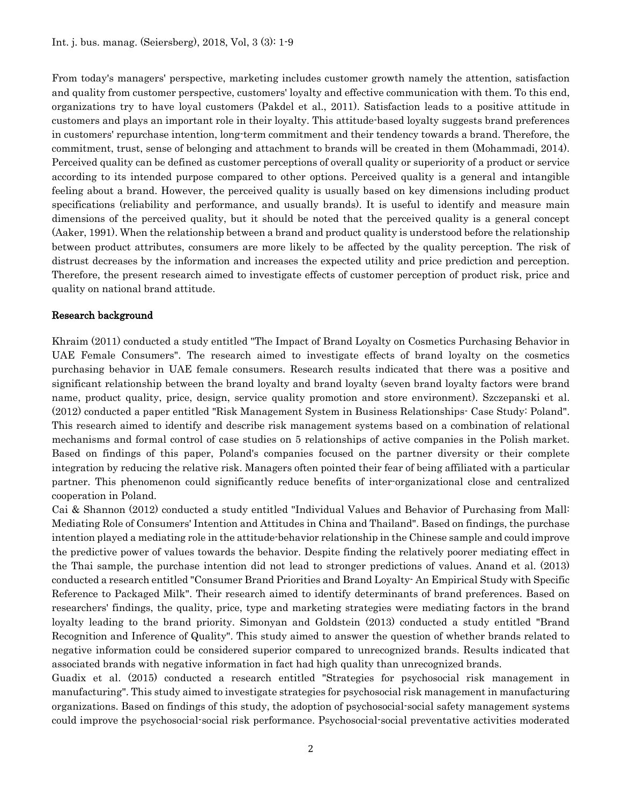From today's managers' perspective, marketing includes customer growth namely the attention, satisfaction and quality from customer perspective, customers' loyalty and effective communication with them. To this end, organizations try to have loyal customers (Pakdel et al., 2011). Satisfaction leads to a positive attitude in customers and plays an important role in their loyalty. This attitude-based loyalty suggests brand preferences in customers' repurchase intention, long-term commitment and their tendency towards a brand. Therefore, the commitment, trust, sense of belonging and attachment to brands will be created in them (Mohammadi, 2014). Perceived quality can be defined as customer perceptions of overall quality or superiority of a product or service according to its intended purpose compared to other options. Perceived quality is a general and intangible feeling about a brand. However, the perceived quality is usually based on key dimensions including product specifications (reliability and performance, and usually brands). It is useful to identify and measure main dimensions of the perceived quality, but it should be noted that the perceived quality is a general concept (Aaker, 1991). When the relationship between a brand and product quality is understood before the relationship between product attributes, consumers are more likely to be affected by the quality perception. The risk of distrust decreases by the information and increases the expected utility and price prediction and perception. Therefore, the present research aimed to investigate effects of customer perception of product risk, price and quality on national brand attitude.

#### Research background

Khraim (2011) conducted a study entitled "The Impact of Brand Loyalty on Cosmetics Purchasing Behavior in UAE Female Consumers". The research aimed to investigate effects of brand loyalty on the cosmetics purchasing behavior in UAE female consumers. Research results indicated that there was a positive and significant relationship between the brand loyalty and brand loyalty (seven brand loyalty factors were brand name, product quality, price, design, service quality promotion and store environment). Szczepanski et al. (2012) conducted a paper entitled "Risk Management System in Business Relationships- Case Study: Poland". This research aimed to identify and describe risk management systems based on a combination of relational mechanisms and formal control of case studies on 5 relationships of active companies in the Polish market. Based on findings of this paper, Poland's companies focused on the partner diversity or their complete integration by reducing the relative risk. Managers often pointed their fear of being affiliated with a particular partner. This phenomenon could significantly reduce benefits of inter-organizational close and centralized cooperation in Poland.

Cai & Shannon (2012) conducted a study entitled "Individual Values and Behavior of Purchasing from Mall: Mediating Role of Consumers' Intention and Attitudes in China and Thailand". Based on findings, the purchase intention played a mediating role in the attitude-behavior relationship in the Chinese sample and could improve the predictive power of values towards the behavior. Despite finding the relatively poorer mediating effect in the Thai sample, the purchase intention did not lead to stronger predictions of values. Anand et al. (2013) conducted a research entitled "Consumer Brand Priorities and Brand Loyalty- An Empirical Study with Specific Reference to Packaged Milk". Their research aimed to identify determinants of brand preferences. Based on researchers' findings, the quality, price, type and marketing strategies were mediating factors in the brand loyalty leading to the brand priority. Simonyan and Goldstein (2013) conducted a study entitled "Brand Recognition and Inference of Quality". This study aimed to answer the question of whether brands related to negative information could be considered superior compared to unrecognized brands. Results indicated that associated brands with negative information in fact had high quality than unrecognized brands.

Guadix et al. (2015) conducted a research entitled "Strategies for psychosocial risk management in manufacturing". This study aimed to investigate strategies for psychosocial risk management in manufacturing organizations. Based on findings of this study, the adoption of psychosocial-social safety management systems could improve the psychosocial-social risk performance. Psychosocial-social preventative activities moderated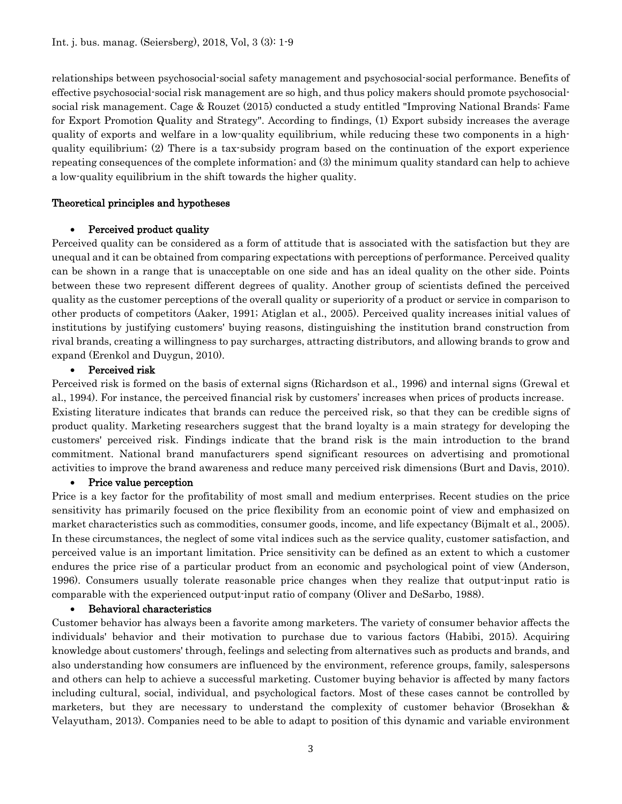relationships between psychosocial-social safety management and psychosocial-social performance. Benefits of effective psychosocial-social risk management are so high, and thus policy makers should promote psychosocialsocial risk management. Cage & Rouzet (2015) conducted a study entitled "Improving National Brands: Fame for Export Promotion Quality and Strategy". According to findings, (1) Export subsidy increases the average quality of exports and welfare in a low-quality equilibrium, while reducing these two components in a highquality equilibrium; (2) There is a tax-subsidy program based on the continuation of the export experience repeating consequences of the complete information; and (3) the minimum quality standard can help to achieve a low-quality equilibrium in the shift towards the higher quality.

#### Theoretical principles and hypotheses

#### • Perceived product quality

Perceived quality can be considered as a form of attitude that is associated with the satisfaction but they are unequal and it can be obtained from comparing expectations with perceptions of performance. Perceived quality can be shown in a range that is unacceptable on one side and has an ideal quality on the other side. Points between these two represent different degrees of quality. Another group of scientists defined the perceived quality as the customer perceptions of the overall quality or superiority of a product or service in comparison to other products of competitors (Aaker, 1991; Atiglan et al., 2005). Perceived quality increases initial values of institutions by justifying customers' buying reasons, distinguishing the institution brand construction from rival brands, creating a willingness to pay surcharges, attracting distributors, and allowing brands to grow and expand (Erenkol and Duygun, 2010).

#### • Perceived risk

Perceived risk is formed on the basis of external signs (Richardson et al., 1996) and internal signs (Grewal et al., 1994). For instance, the perceived financial risk by customers' increases when prices of products increase. Existing literature indicates that brands can reduce the perceived risk, so that they can be credible signs of product quality. Marketing researchers suggest that the brand loyalty is a main strategy for developing the customers' perceived risk. Findings indicate that the brand risk is the main introduction to the brand commitment. National brand manufacturers spend significant resources on advertising and promotional activities to improve the brand awareness and reduce many perceived risk dimensions (Burt and Davis, 2010).

#### • Price value perception

Price is a key factor for the profitability of most small and medium enterprises. Recent studies on the price sensitivity has primarily focused on the price flexibility from an economic point of view and emphasized on market characteristics such as commodities, consumer goods, income, and life expectancy (Bijmalt et al., 2005). In these circumstances, the neglect of some vital indices such as the service quality, customer satisfaction, and perceived value is an important limitation. Price sensitivity can be defined as an extent to which a customer endures the price rise of a particular product from an economic and psychological point of view (Anderson, 1996). Consumers usually tolerate reasonable price changes when they realize that output-input ratio is comparable with the experienced output-input ratio of company (Oliver and DeSarbo, 1988).

## • Behavioral characteristics

Customer behavior has always been a favorite among marketers. The variety of consumer behavior affects the individuals' behavior and their motivation to purchase due to various factors (Habibi, 2015). Acquiring knowledge about customers' through, feelings and selecting from alternatives such as products and brands, and also understanding how consumers are influenced by the environment, reference groups, family, salespersons and others can help to achieve a successful marketing. Customer buying behavior is affected by many factors including cultural, social, individual, and psychological factors. Most of these cases cannot be controlled by marketers, but they are necessary to understand the complexity of customer behavior (Brosekhan & Velayutham, 2013). Companies need to be able to adapt to position of this dynamic and variable environment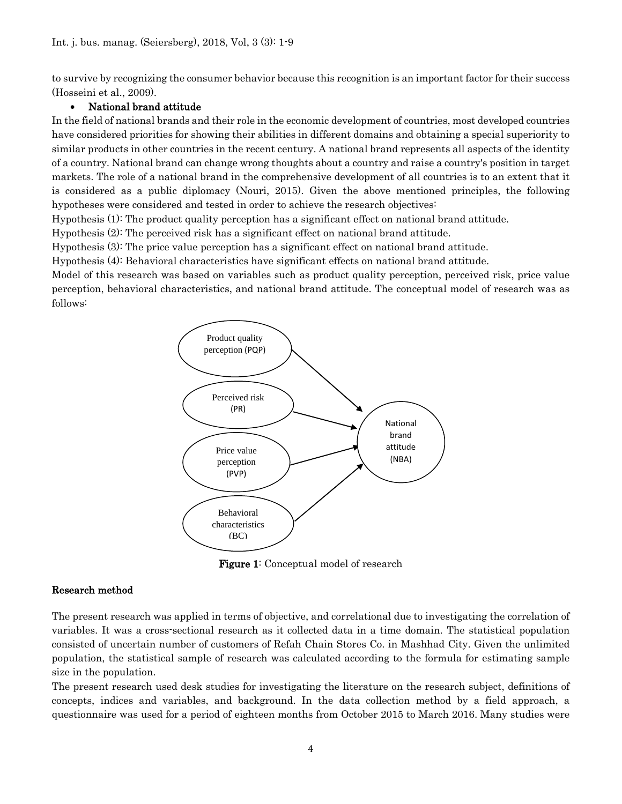to survive by recognizing the consumer behavior because this recognition is an important factor for their success (Hosseini et al., 2009).

## • National brand attitude

In the field of national brands and their role in the economic development of countries, most developed countries have considered priorities for showing their abilities in different domains and obtaining a special superiority to similar products in other countries in the recent century. A national brand represents all aspects of the identity of a country. National brand can change wrong thoughts about a country and raise a country's position in target markets. The role of a national brand in the comprehensive development of all countries is to an extent that it is considered as a public diplomacy (Nouri, 2015). Given the above mentioned principles, the following hypotheses were considered and tested in order to achieve the research objectives:

Hypothesis (1): The product quality perception has a significant effect on national brand attitude.

Hypothesis (2): The perceived risk has a significant effect on national brand attitude.

Hypothesis (3): The price value perception has a significant effect on national brand attitude.

Hypothesis (4): Behavioral characteristics have significant effects on national brand attitude.

Model of this research was based on variables such as product quality perception, perceived risk, price value perception, behavioral characteristics, and national brand attitude. The conceptual model of research was as follows:



Figure 1: Conceptual model of research

#### Research method

The present research was applied in terms of objective, and correlational due to investigating the correlation of variables. It was a cross-sectional research as it collected data in a time domain. The statistical population consisted of uncertain number of customers of Refah Chain Stores Co. in Mashhad City. Given the unlimited population, the statistical sample of research was calculated according to the formula for estimating sample size in the population.

The present research used desk studies for investigating the literature on the research subject, definitions of concepts, indices and variables, and background. In the data collection method by a field approach, a questionnaire was used for a period of eighteen months from October 2015 to March 2016. Many studies were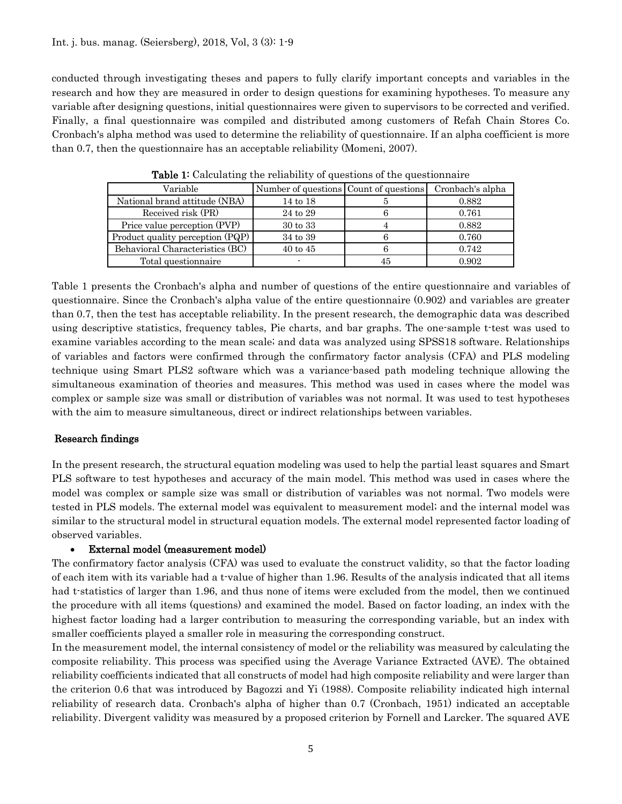conducted through investigating theses and papers to fully clarify important concepts and variables in the research and how they are measured in order to design questions for examining hypotheses. To measure any variable after designing questions, initial questionnaires were given to supervisors to be corrected and verified. Finally, a final questionnaire was compiled and distributed among customers of Refah Chain Stores Co. Cronbach's alpha method was used to determine the reliability of questionnaire. If an alpha coefficient is more than 0.7, then the questionnaire has an acceptable reliability (Momeni, 2007).

| Variable                         | Number of questions Count of questions |    | Cronbach's alpha |
|----------------------------------|----------------------------------------|----|------------------|
| National brand attitude (NBA)    | 14 to 18                               |    | 0.882            |
| Received risk (PR)               | 24 to 29                               |    | 0.761            |
| Price value perception (PVP)     | 30 to 33                               |    | 0.882            |
| Product quality perception (PQP) | 34 to 39                               |    | 0.760            |
| Behavioral Characteristics (BC)  | $40 \text{ to } 45$                    |    | 0.742            |
| Total questionnaire              |                                        | 45 | 0.902            |

Table 1: Calculating the reliability of questions of the questionnaire

Table 1 presents the Cronbach's alpha and number of questions of the entire questionnaire and variables of questionnaire. Since the Cronbach's alpha value of the entire questionnaire (0.902) and variables are greater than 0.7, then the test has acceptable reliability. In the present research, the demographic data was described using descriptive statistics, frequency tables, Pie charts, and bar graphs. The one-sample t-test was used to examine variables according to the mean scale; and data was analyzed using SPSS18 software. Relationships of variables and factors were confirmed through the confirmatory factor analysis (CFA) and PLS modeling technique using Smart PLS2 software which was a variance-based path modeling technique allowing the simultaneous examination of theories and measures. This method was used in cases where the model was complex or sample size was small or distribution of variables was not normal. It was used to test hypotheses with the aim to measure simultaneous, direct or indirect relationships between variables.

## Research findings

In the present research, the structural equation modeling was used to help the partial least squares and Smart PLS software to test hypotheses and accuracy of the main model. This method was used in cases where the model was complex or sample size was small or distribution of variables was not normal. Two models were tested in PLS models. The external model was equivalent to measurement model; and the internal model was similar to the structural model in structural equation models. The external model represented factor loading of observed variables.

#### • External model (measurement model)

The confirmatory factor analysis (CFA) was used to evaluate the construct validity, so that the factor loading of each item with its variable had a t-value of higher than 1.96. Results of the analysis indicated that all items had t-statistics of larger than 1.96, and thus none of items were excluded from the model, then we continued the procedure with all items (questions) and examined the model. Based on factor loading, an index with the highest factor loading had a larger contribution to measuring the corresponding variable, but an index with smaller coefficients played a smaller role in measuring the corresponding construct.

In the measurement model, the internal consistency of model or the reliability was measured by calculating the composite reliability. This process was specified using the Average Variance Extracted (AVE). The obtained reliability coefficients indicated that all constructs of model had high composite reliability and were larger than the criterion 0.6 that was introduced by Bagozzi and Yi (1988). Composite reliability indicated high internal reliability of research data. Cronbach's alpha of higher than 0.7 (Cronbach, 1951) indicated an acceptable reliability. Divergent validity was measured by a proposed criterion by Fornell and Larcker. The squared AVE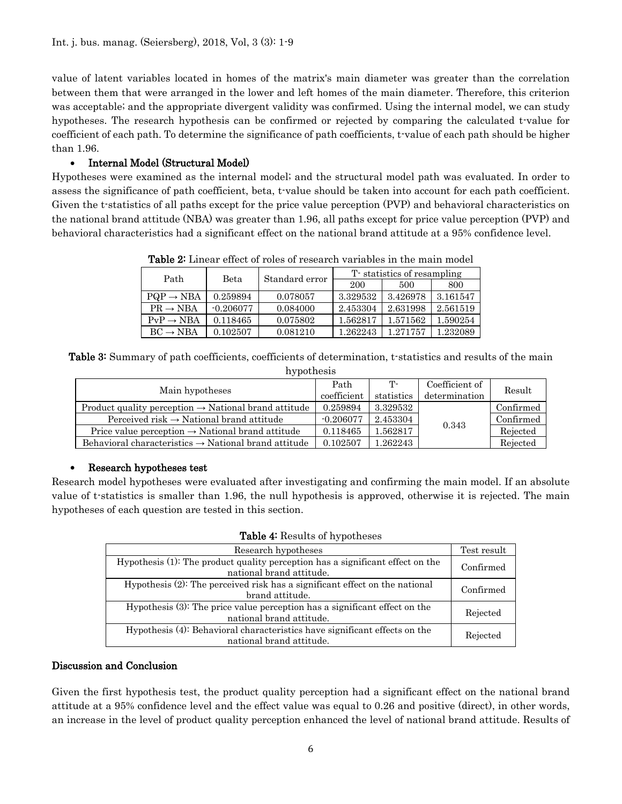value of latent variables located in homes of the matrix's main diameter was greater than the correlation between them that were arranged in the lower and left homes of the main diameter. Therefore, this criterion was acceptable; and the appropriate divergent validity was confirmed. Using the internal model, we can study hypotheses. The research hypothesis can be confirmed or rejected by comparing the calculated t-value for coefficient of each path. To determine the significance of path coefficients, t-value of each path should be higher than 1.96.

## • Internal Model (Structural Model)

Hypotheses were examined as the internal model; and the structural model path was evaluated. In order to assess the significance of path coefficient, beta, t-value should be taken into account for each path coefficient. Given the t-statistics of all paths except for the price value perception (PVP) and behavioral characteristics on the national brand attitude (NBA) was greater than 1.96, all paths except for price value perception (PVP) and behavioral characteristics had a significant effect on the national brand attitude at a 95% confidence level.

| <b>Table 2:</b> Linear effect of roles of research variables in the main model |             |                |                            |          |          |  |
|--------------------------------------------------------------------------------|-------------|----------------|----------------------------|----------|----------|--|
| Path                                                                           | Beta        | Standard error | T statistics of resampling |          |          |  |
|                                                                                |             |                | 200                        | 500      | 800      |  |
| $PQP \rightarrow NBA$                                                          | 0.259894    | 0.078057       | 3.329532                   | 3.426978 | 3.161547 |  |
| $PR \rightarrow NBA$                                                           | $-0.206077$ | 0.084000       | 2.453304                   | 2.631998 | 2.561519 |  |
| $PvP \rightarrow NBA$                                                          | 0.118465    | 0.075802       | 1.562817                   | 1.571562 | 1.590254 |  |
| $BC \rightarrow NBA$                                                           | 0.102507    | 0.081210       | 1.262243                   | 1.271757 | 1.232089 |  |

Table 2: Linear effect of roles of research variables in the main model

Table 3: Summary of path coefficients, coefficients of determination, t-statistics and results of the main hypothesis

| ILY PULLESIS |                                                                  |                |           |  |
|--------------|------------------------------------------------------------------|----------------|-----------|--|
| Path         | Т-                                                               | Coefficient of | Result    |  |
| coefficient  | statistics                                                       | determination  |           |  |
| 0.259894     | 3.329532                                                         |                | Confirmed |  |
| $-0.206077$  | 2.453304                                                         |                | Confirmed |  |
| 0.118465     | 1.562817                                                         |                | Rejected  |  |
| 0.102507     | 1.262243                                                         |                | Rejected  |  |
|              | Product quality perception $\rightarrow$ National brand attitude |                | 0.343     |  |

## • Research hypotheses test

Research model hypotheses were evaluated after investigating and confirming the main model. If an absolute value of t-statistics is smaller than 1.96, the null hypothesis is approved, otherwise it is rejected. The main hypotheses of each question are tested in this section.

|  |  |  |  | Table 4: Results of hypotheses |
|--|--|--|--|--------------------------------|
|--|--|--|--|--------------------------------|

| Research hypotheses                                                                                        | Test result |
|------------------------------------------------------------------------------------------------------------|-------------|
| Hypothesis (1): The product quality perception has a significant effect on the<br>national brand attitude. | Confirmed   |
| Hypothesis (2): The perceived risk has a significant effect on the national<br>brand attitude.             | Confirmed   |
| Hypothesis (3): The price value perception has a significant effect on the<br>national brand attitude.     | Rejected    |
| Hypothesis (4): Behavioral characteristics have significant effects on the<br>national brand attitude.     | Rejected    |

#### Discussion and Conclusion

Given the first hypothesis test, the product quality perception had a significant effect on the national brand attitude at a 95% confidence level and the effect value was equal to 0.26 and positive (direct), in other words, an increase in the level of product quality perception enhanced the level of national brand attitude. Results of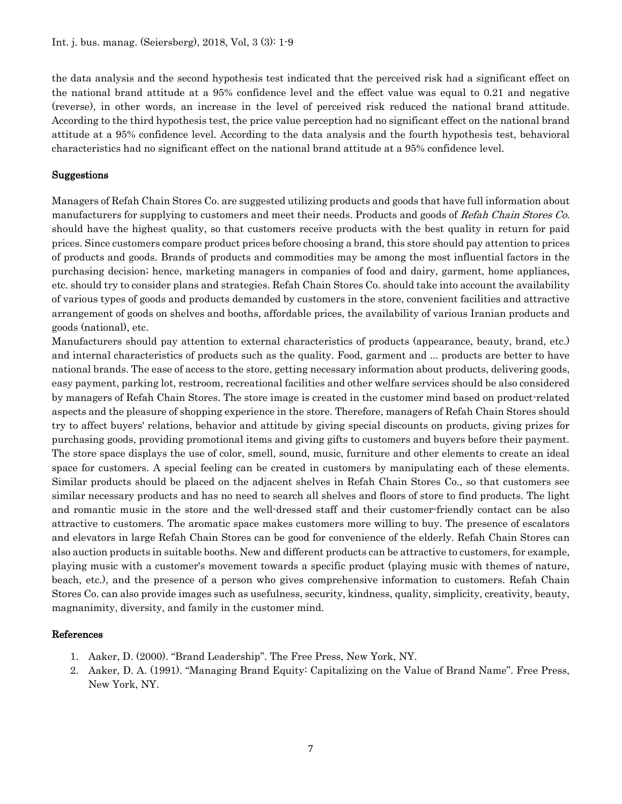the data analysis and the second hypothesis test indicated that the perceived risk had a significant effect on the national brand attitude at a 95% confidence level and the effect value was equal to 0.21 and negative (reverse), in other words, an increase in the level of perceived risk reduced the national brand attitude. According to the third hypothesis test, the price value perception had no significant effect on the national brand attitude at a 95% confidence level. According to the data analysis and the fourth hypothesis test, behavioral characteristics had no significant effect on the national brand attitude at a 95% confidence level.

#### Suggestions

Managers of Refah Chain Stores Co. are suggested utilizing products and goods that have full information about manufacturers for supplying to customers and meet their needs. Products and goods of Refah Chain Stores Co. should have the highest quality, so that customers receive products with the best quality in return for paid prices. Since customers compare product prices before choosing a brand, this store should pay attention to prices of products and goods. Brands of products and commodities may be among the most influential factors in the purchasing decision; hence, marketing managers in companies of food and dairy, garment, home appliances, etc. should try to consider plans and strategies. Refah Chain Stores Co. should take into account the availability of various types of goods and products demanded by customers in the store, convenient facilities and attractive arrangement of goods on shelves and booths, affordable prices, the availability of various Iranian products and goods (national), etc.

Manufacturers should pay attention to external characteristics of products (appearance, beauty, brand, etc.) and internal characteristics of products such as the quality. Food, garment and ... products are better to have national brands. The ease of access to the store, getting necessary information about products, delivering goods, easy payment, parking lot, restroom, recreational facilities and other welfare services should be also considered by managers of Refah Chain Stores. The store image is created in the customer mind based on product-related aspects and the pleasure of shopping experience in the store. Therefore, managers of Refah Chain Stores should try to affect buyers' relations, behavior and attitude by giving special discounts on products, giving prizes for purchasing goods, providing promotional items and giving gifts to customers and buyers before their payment. The store space displays the use of color, smell, sound, music, furniture and other elements to create an ideal space for customers. A special feeling can be created in customers by manipulating each of these elements. Similar products should be placed on the adjacent shelves in Refah Chain Stores Co., so that customers see similar necessary products and has no need to search all shelves and floors of store to find products. The light and romantic music in the store and the well-dressed staff and their customer-friendly contact can be also attractive to customers. The aromatic space makes customers more willing to buy. The presence of escalators and elevators in large Refah Chain Stores can be good for convenience of the elderly. Refah Chain Stores can also auction products in suitable booths. New and different products can be attractive to customers, for example, playing music with a customer's movement towards a specific product (playing music with themes of nature, beach, etc.), and the presence of a person who gives comprehensive information to customers. Refah Chain Stores Co. can also provide images such as usefulness, security, kindness, quality, simplicity, creativity, beauty, magnanimity, diversity, and family in the customer mind.

## References

- 1. Aaker, D. (2000). "Brand Leadership". The Free Press, New York, NY.
- 2. Aaker, D. A. (1991). "Managing Brand Equity: Capitalizing on the Value of Brand Name". Free Press, New York, NY.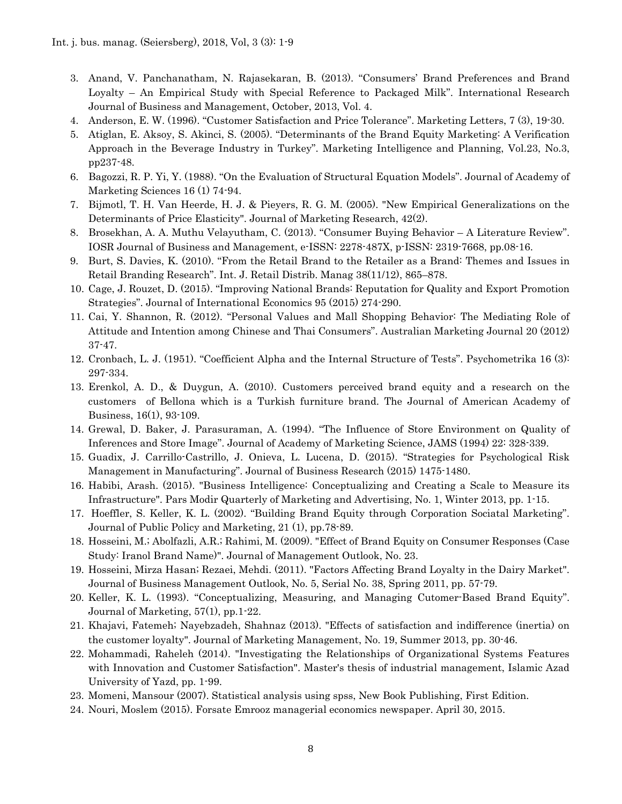- 3. Anand, V. Panchanatham, N. Rajasekaran, B. (2013). "Consumers' Brand Preferences and Brand Loyalty – An Empirical Study with Special Reference to Packaged Milk". International Research Journal of Business and Management, October, 2013, Vol. 4.
- 4. Anderson, E. W. (1996). "Customer Satisfaction and Price Tolerance". Marketing Letters, 7 (3), 19-30.
- 5. Atiglan, E. Aksoy, S. Akinci, S. (2005). "Determinants of the Brand Equity Marketing: A Verification Approach in the Beverage Industry in Turkey". Marketing Intelligence and Planning, Vol.23, No.3, pp237-48.
- 6. Bagozzi, R. P. Yi, Y. (1988). "On the Evaluation of Structural Equation Models". Journal of Academy of Marketing Sciences 16 (1) 74-94.
- 7. Bijmotl, T. H. Van Heerde, H. J. & Pieyers, R. G. M. (2005). "New Empirical Generalizations on the Determinants of Price Elasticity". Journal of Marketing Research, 42(2).
- 8. Brosekhan, A. A. Muthu Velayutham, C. (2013). "Consumer Buying Behavior A Literature Review". IOSR Journal of Business and Management, e-ISSN: 2278-487X, p-ISSN: 2319-7668, pp.08-16.
- 9. Burt, S. Davies, K. (2010). "From the Retail Brand to the Retailer as a Brand: Themes and Issues in Retail Branding Research". Int. J. Retail Distrib. Manag 38(11/12), 865–878.
- 10. Cage, J. Rouzet, D. (2015). "Improving National Brands: Reputation for Quality and Export Promotion Strategies". Journal of International Economics 95 (2015) 274-290.
- 11. Cai, Y. Shannon, R. (2012). "Personal Values and Mall Shopping Behavior: The Mediating Role of Attitude and Intention among Chinese and Thai Consumers". Australian Marketing Journal 20 (2012) 37-47.
- 12. Cronbach, L. J. (1951). "Coefficient Alpha and the Internal Structure of Tests". Psychometrika 16 (3): 297-334.
- 13. Erenkol, A. D., & Duygun, A. (2010). Customers perceived brand equity and a research on the customers of Bellona which is a Turkish furniture brand. The Journal of American Academy of Business, 16(1), 93-109.
- 14. Grewal, D. Baker, J. Parasuraman, A. (1994). "The Influence of Store Environment on Quality of Inferences and Store Image". Journal of Academy of Marketing Science, JAMS (1994) 22: 328-339.
- 15. Guadix, J. Carrillo-Castrillo, J. Onieva, L. Lucena, D. (2015). "Strategies for Psychological Risk Management in Manufacturing". Journal of Business Research (2015) 1475-1480.
- 16. Habibi, Arash. (2015). "Business Intelligence: Conceptualizing and Creating a Scale to Measure its Infrastructure". Pars Modir Quarterly of Marketing and Advertising, No. 1, Winter 2013, pp. 1-15.
- 17. Hoeffler, S. Keller, K. L. (2002). "Building Brand Equity through Corporation Sociatal Marketing". Journal of Public Policy and Marketing, 21 (1), pp.78-89.
- 18. Hosseini, M.; Abolfazli, A.R.; Rahimi, M. (2009). "Effect of Brand Equity on Consumer Responses (Case Study: Iranol Brand Name)". Journal of Management Outlook, No. 23.
- 19. Hosseini, Mirza Hasan; Rezaei, Mehdi. (2011). "Factors Affecting Brand Loyalty in the Dairy Market". Journal of Business Management Outlook, No. 5, Serial No. 38, Spring 2011, pp. 57-79.
- 20. Keller, K. L. (1993). "Conceptualizing, Measuring, and Managing Cutomer-Based Brand Equity". Journal of Marketing, 57(1), pp.1-22.
- 21. Khajavi, Fatemeh; Nayebzadeh, Shahnaz (2013). "Effects of satisfaction and indifference (inertia) on the customer loyalty". Journal of Marketing Management, No. 19, Summer 2013, pp. 30-46.
- 22. Mohammadi, Raheleh (2014). "Investigating the Relationships of Organizational Systems Features with Innovation and Customer Satisfaction". Master's thesis of industrial management, Islamic Azad University of Yazd, pp. 1-99.
- 23. Momeni, Mansour (2007). Statistical analysis using spss, New Book Publishing, First Edition.
- 24. Nouri, Moslem (2015). Forsate Emrooz managerial economics newspaper. April 30, 2015.